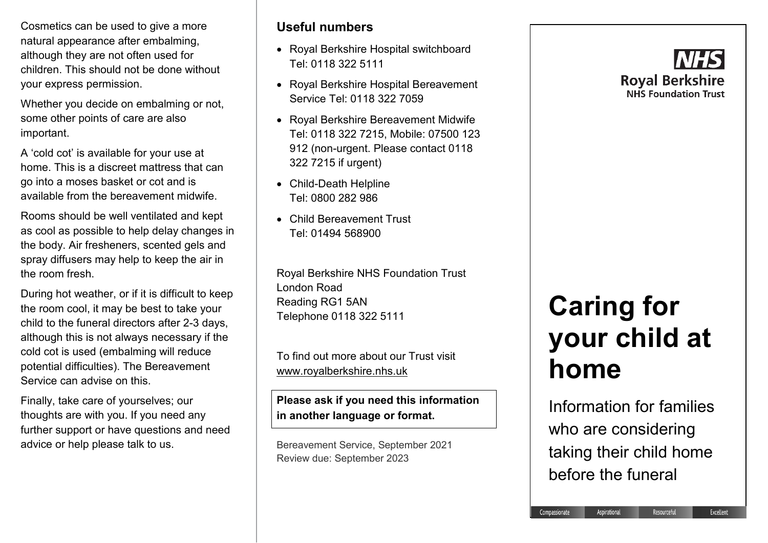Cosmetics can be used to give a more natural appearance after embalming, although they are not often used for children. This should not be done without your express permission.

Whether you decide on embalming or not, some other points of care are also important.

A 'cold cot' is available for your use at home. This is a discreet mattress that can go into a moses basket or cot and is available from the bereavement midwife.

Rooms should be well ventilated and kept as cool as possible to help delay changes in the body. Air fresheners, scented gels and spray diffusers may help to keep the air in the room fresh.

During hot weather, or if it is difficult to keep the room cool, it may be best to take your child to the funeral directors after 2-3 days, although this is not always necessary if the cold cot is used (embalming will reduce potential difficulties). The Bereavement Service can advise on this.

Finally, take care of yourselves; our thoughts are with you. If you need any further support or have questions and need advice or help please talk to us.

## **Useful numbers**

- Royal Berkshire Hospital switchboard Tel: 0118 322 5111
- Royal Berkshire Hospital Bereavement Service Tel: 0118 322 7059
- Royal Berkshire Bereavement Midwife Tel: 0118 322 7215, Mobile: 07500 123 912 (non-urgent. Please contact 0118 322 7215 if urgent)
- Child-Death Helpline Tel: 0800 282 986
- Child Bereavement Trust Tel: 01494 568900

Royal Berkshire NHS Foundation Trust London Road Reading RG1 5AN Telephone 0118 322 5111

To find out more about our Trust visit [www.royalberkshire.nhs.uk](http://www.royalberkshire.nhs.uk/)

**Please ask if you need this information in another language or format.**

Bereavement Service, September 2021 Review due: September 2023



# **Caring for your child at home**

Information for families who are considering taking their child home before the funeral

Aspirational

Compassionate

Resourceful